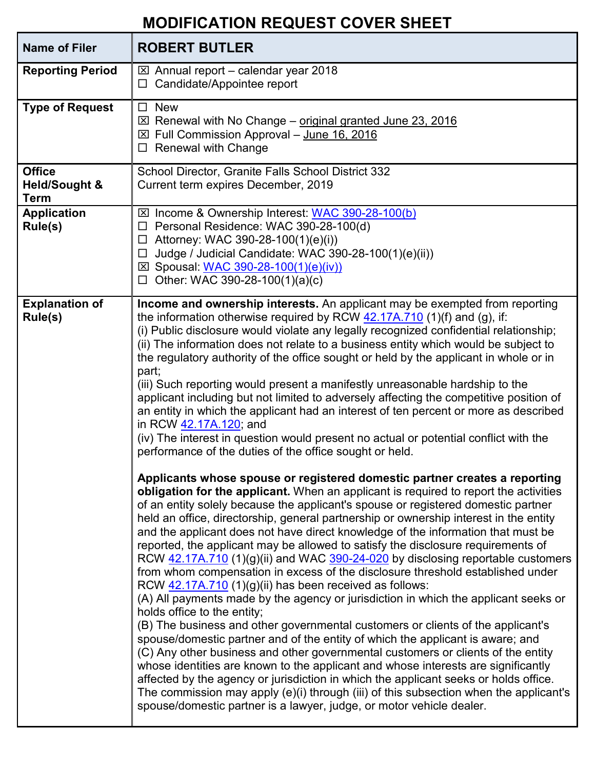## **MODIFICATION REQUEST COVER SHEET**

| <b>Name of Filer</b>                                     | <b>ROBERT BUTLER</b>                                                                                                                                                                                                                                                                                                                                                                                                                                                                                                                                                                                                                                                                                                                                                                                                                                                                                                                                                                                                                                                                                                                                                                                                                                                                                                                                                                                                                                                                  |
|----------------------------------------------------------|---------------------------------------------------------------------------------------------------------------------------------------------------------------------------------------------------------------------------------------------------------------------------------------------------------------------------------------------------------------------------------------------------------------------------------------------------------------------------------------------------------------------------------------------------------------------------------------------------------------------------------------------------------------------------------------------------------------------------------------------------------------------------------------------------------------------------------------------------------------------------------------------------------------------------------------------------------------------------------------------------------------------------------------------------------------------------------------------------------------------------------------------------------------------------------------------------------------------------------------------------------------------------------------------------------------------------------------------------------------------------------------------------------------------------------------------------------------------------------------|
| <b>Reporting Period</b>                                  | $\boxtimes$ Annual report – calendar year 2018<br>$\Box$ Candidate/Appointee report                                                                                                                                                                                                                                                                                                                                                                                                                                                                                                                                                                                                                                                                                                                                                                                                                                                                                                                                                                                                                                                                                                                                                                                                                                                                                                                                                                                                   |
| <b>Type of Request</b>                                   | <b>New</b><br>$\Box$<br>$\boxtimes$ Renewal with No Change – original granted June 23, 2016<br>⊠ Full Commission Approval - June 16, 2016<br>$\Box$ Renewal with Change                                                                                                                                                                                                                                                                                                                                                                                                                                                                                                                                                                                                                                                                                                                                                                                                                                                                                                                                                                                                                                                                                                                                                                                                                                                                                                               |
| <b>Office</b><br><b>Held/Sought &amp;</b><br><b>Term</b> | School Director, Granite Falls School District 332<br>Current term expires December, 2019                                                                                                                                                                                                                                                                                                                                                                                                                                                                                                                                                                                                                                                                                                                                                                                                                                                                                                                                                                                                                                                                                                                                                                                                                                                                                                                                                                                             |
| <b>Application</b><br>Rule(s)                            | ⊠ Income & Ownership Interest: WAC 390-28-100(b)<br>□ Personal Residence: WAC 390-28-100(d)<br>$\Box$ Attorney: WAC 390-28-100(1)(e)(i))<br>$\Box$ Judge / Judicial Candidate: WAC 390-28-100(1)(e)(ii))<br>⊠ Spousal: WAC 390-28-100(1)(e)(iv))<br>$\Box$ Other: WAC 390-28-100(1)(a)(c)                                                                                                                                                                                                                                                                                                                                                                                                                                                                                                                                                                                                                                                                                                                                                                                                                                                                                                                                                                                                                                                                                                                                                                                             |
| <b>Explanation of</b><br>Rule(s)                         | Income and ownership interests. An applicant may be exempted from reporting<br>the information otherwise required by RCW $42.17A.710$ (1)(f) and (g), if:<br>(i) Public disclosure would violate any legally recognized confidential relationship;<br>(ii) The information does not relate to a business entity which would be subject to<br>the regulatory authority of the office sought or held by the applicant in whole or in<br>part;<br>(iii) Such reporting would present a manifestly unreasonable hardship to the<br>applicant including but not limited to adversely affecting the competitive position of<br>an entity in which the applicant had an interest of ten percent or more as described<br>in RCW 42.17A.120; and<br>(iv) The interest in question would present no actual or potential conflict with the<br>performance of the duties of the office sought or held.                                                                                                                                                                                                                                                                                                                                                                                                                                                                                                                                                                                            |
|                                                          | Applicants whose spouse or registered domestic partner creates a reporting<br>obligation for the applicant. When an applicant is required to report the activities<br>of an entity solely because the applicant's spouse or registered domestic partner<br>held an office, directorship, general partnership or ownership interest in the entity<br>and the applicant does not have direct knowledge of the information that must be<br>reported, the applicant may be allowed to satisfy the disclosure requirements of<br>RCW 42.17A.710 (1)(g)(ii) and WAC 390-24-020 by disclosing reportable customers<br>from whom compensation in excess of the disclosure threshold established under<br>RCW 42.17A.710 (1)(g)(ii) has been received as follows:<br>(A) All payments made by the agency or jurisdiction in which the applicant seeks or<br>holds office to the entity;<br>(B) The business and other governmental customers or clients of the applicant's<br>spouse/domestic partner and of the entity of which the applicant is aware; and<br>(C) Any other business and other governmental customers or clients of the entity<br>whose identities are known to the applicant and whose interests are significantly<br>affected by the agency or jurisdiction in which the applicant seeks or holds office.<br>The commission may apply (e)(i) through (iii) of this subsection when the applicant's<br>spouse/domestic partner is a lawyer, judge, or motor vehicle dealer. |